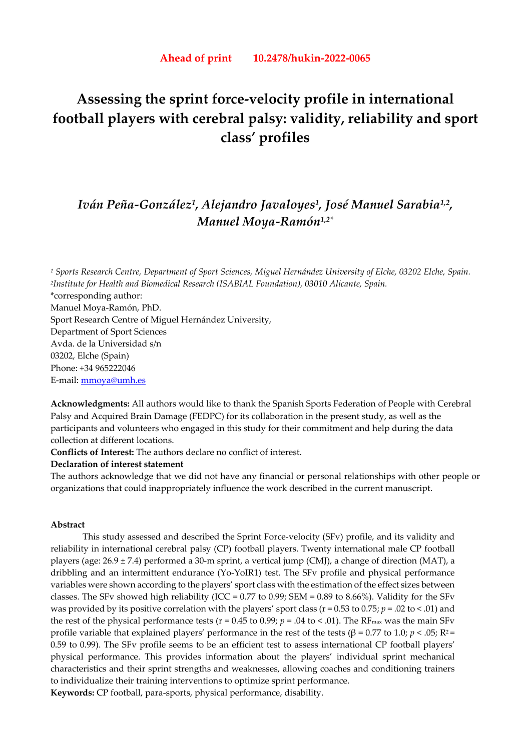# **Assessing the sprint force-velocity profile in international football players with cerebral palsy: validity, reliability and sport class' profiles**

# *Iván Peña-González1, Alejandro Javaloyes1, José Manuel Sarabia1,2, Manuel Moya-Ramón1,2\**

*<sup>1</sup> Sports Research Centre, Department of Sport Sciences, Miguel Hernández University of Elche, 03202 Elche, Spain. 2Institute for Health and Biomedical Research (ISABIAL Foundation), 03010 Alicante, Spain.*  \*corresponding author: Manuel Moya-Ramón, PhD. Sport Research Centre of Miguel Hernández University, Department of Sport Sciences Avda. de la Universidad s/n 03202, Elche (Spain) Phone: +34 965222046 E-mail: mmoya@umh.es

**Acknowledgments:** All authors would like to thank the Spanish Sports Federation of People with Cerebral Palsy and Acquired Brain Damage (FEDPC) for its collaboration in the present study, as well as the participants and volunteers who engaged in this study for their commitment and help during the data collection at different locations.

**Conflicts of Interest:** The authors declare no conflict of interest.

# **Declaration of interest statement**

The authors acknowledge that we did not have any financial or personal relationships with other people or organizations that could inappropriately influence the work described in the current manuscript.

# **Abstract**

This study assessed and described the Sprint Force-velocity (SFv) profile, and its validity and reliability in international cerebral palsy (CP) football players. Twenty international male CP football players (age: 26.9 ± 7.4) performed a 30-m sprint, a vertical jump (CMJ), a change of direction (MAT), a dribbling and an intermittent endurance (Yo-YoIR1) test. The SFv profile and physical performance variables were shown according to the players' sport class with the estimation of the effect sizes between classes. The SFv showed high reliability (ICC =  $0.77$  to  $0.99$ ; SEM =  $0.89$  to 8.66%). Validity for the SFv was provided by its positive correlation with the players' sport class ( $r = 0.53$  to  $0.75$ ;  $p = .02$  to < .01) and the rest of the physical performance tests ( $r = 0.45$  to 0.99;  $p = .04$  to < .01). The RF<sub>max</sub> was the main SFv profile variable that explained players' performance in the rest of the tests ( $\beta = 0.77$  to 1.0; *p* < .05;  $R^2$ = 0.59 to 0.99). The SFv profile seems to be an efficient test to assess international CP football players' physical performance. This provides information about the players' individual sprint mechanical characteristics and their sprint strengths and weaknesses, allowing coaches and conditioning trainers to individualize their training interventions to optimize sprint performance.

**Keywords:** CP football, para-sports, physical performance, disability.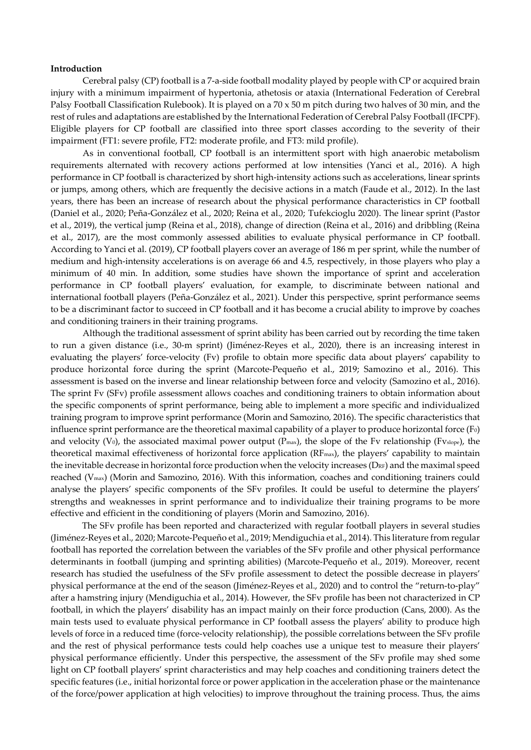#### **Introduction**

Cerebral palsy (CP) football is a 7-a-side football modality played by people with CP or acquired brain injury with a minimum impairment of hypertonia, athetosis or ataxia (International Federation of Cerebral Palsy Football Classification Rulebook). It is played on a 70 x 50 m pitch during two halves of 30 min, and the rest of rules and adaptations are established by the International Federation of Cerebral Palsy Football (IFCPF). Eligible players for CP football are classified into three sport classes according to the severity of their impairment (FT1: severe profile, FT2: moderate profile, and FT3: mild profile).

As in conventional football, CP football is an intermittent sport with high anaerobic metabolism requirements alternated with recovery actions performed at low intensities (Yanci et al., 2016). A high performance in CP football is characterized by short high-intensity actions such as accelerations, linear sprints or jumps, among others, which are frequently the decisive actions in a match (Faude et al., 2012). In the last years, there has been an increase of research about the physical performance characteristics in CP football (Daniel et al., 2020; Peña-González et al., 2020; Reina et al., 2020; Tufekcioglu 2020). The linear sprint (Pastor et al., 2019), the vertical jump (Reina et al., 2018), change of direction (Reina et al., 2016) and dribbling (Reina et al., 2017), are the most commonly assessed abilities to evaluate physical performance in CP football. According to Yanci et al. (2019), CP football players cover an average of 186 m per sprint, while the number of medium and high-intensity accelerations is on average 66 and 4.5, respectively, in those players who play a minimum of 40 min. In addition, some studies have shown the importance of sprint and acceleration performance in CP football players' evaluation, for example, to discriminate between national and international football players (Peña-González et al., 2021). Under this perspective, sprint performance seems to be a discriminant factor to succeed in CP football and it has become a crucial ability to improve by coaches and conditioning trainers in their training programs.

Although the traditional assessment of sprint ability has been carried out by recording the time taken to run a given distance (i.e., 30-m sprint) (Jiménez-Reyes et al., 2020), there is an increasing interest in evaluating the players' force-velocity (Fv) profile to obtain more specific data about players' capability to produce horizontal force during the sprint (Marcote-Pequeño et al., 2019; Samozino et al., 2016). This assessment is based on the inverse and linear relationship between force and velocity (Samozino et al., 2016). The sprint Fv (SFv) profile assessment allows coaches and conditioning trainers to obtain information about the specific components of sprint performance, being able to implement a more specific and individualized training program to improve sprint performance (Morin and Samozino, 2016). The specific characteristics that influence sprint performance are the theoretical maximal capability of a player to produce horizontal force  $(F<sub>0</sub>)$ and velocity (V<sub>0</sub>), the associated maximal power output ( $P_{max}$ ), the slope of the Fv relationship (Fvslope), the theoretical maximal effectiveness of horizontal force application (RFmax), the players' capability to maintain the inevitable decrease in horizontal force production when the velocity increases ( $D_{RF}$ ) and the maximal speed reached (Vmax) (Morin and Samozino, 2016). With this information, coaches and conditioning trainers could analyse the players' specific components of the SFv profiles. It could be useful to determine the players' strengths and weaknesses in sprint performance and to individualize their training programs to be more effective and efficient in the conditioning of players (Morin and Samozino, 2016).

The SFv profile has been reported and characterized with regular football players in several studies (Jiménez-Reyes et al., 2020; Marcote-Pequeño et al., 2019; Mendiguchia et al., 2014). This literature from regular football has reported the correlation between the variables of the SFv profile and other physical performance determinants in football (jumping and sprinting abilities) (Marcote-Pequeño et al., 2019). Moreover, recent research has studied the usefulness of the SFv profile assessment to detect the possible decrease in players' physical performance at the end of the season (Jiménez-Reyes et al., 2020) and to control the "return-to-play" after a hamstring injury (Mendiguchia et al., 2014). However, the SFv profile has been not characterized in CP football, in which the players' disability has an impact mainly on their force production (Cans, 2000). As the main tests used to evaluate physical performance in CP football assess the players' ability to produce high levels of force in a reduced time (force-velocity relationship), the possible correlations between the SFv profile and the rest of physical performance tests could help coaches use a unique test to measure their players' physical performance efficiently. Under this perspective, the assessment of the SFv profile may shed some light on CP football players' sprint characteristics and may help coaches and conditioning trainers detect the specific features (i.e., initial horizontal force or power application in the acceleration phase or the maintenance of the force/power application at high velocities) to improve throughout the training process. Thus, the aims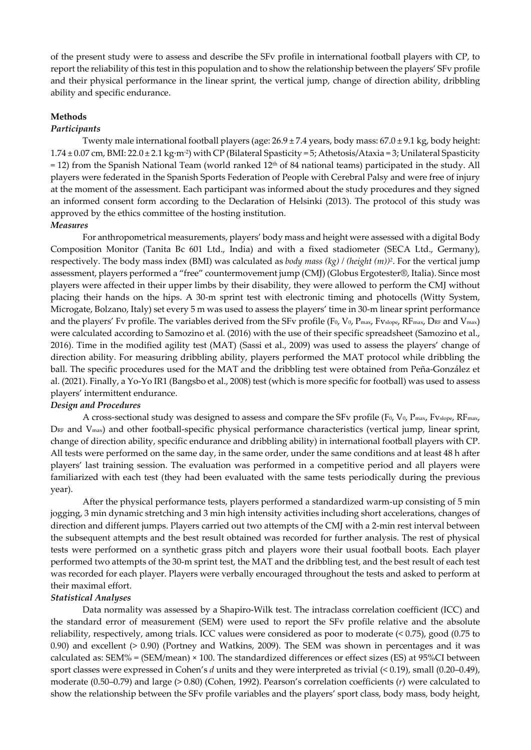of the present study were to assess and describe the SFv profile in international football players with CP, to report the reliability of this test in this population and to show the relationship between the players' SFv profile and their physical performance in the linear sprint, the vertical jump, change of direction ability, dribbling ability and specific endurance.

# **Methods**

# *Participants*

Twenty male international football players (age:  $26.9 \pm 7.4$  years, body mass:  $67.0 \pm 9.1$  kg, body height:  $1.74 \pm 0.07$  cm, BMI:  $22.0 \pm 2.1$  kg·m<sup>-2</sup>) with CP (Bilateral Spasticity = 5; Athetosis/Ataxia = 3; Unilateral Spasticity  $= 12$ ) from the Spanish National Team (world ranked 12<sup>th</sup> of 84 national teams) participated in the study. All players were federated in the Spanish Sports Federation of People with Cerebral Palsy and were free of injury at the moment of the assessment. Each participant was informed about the study procedures and they signed an informed consent form according to the Declaration of Helsinki (2013). The protocol of this study was approved by the ethics committee of the hosting institution.

# *Measures*

For anthropometrical measurements, players' body mass and height were assessed with a digital Body Composition Monitor (Tanita Bc 601 Ltd., India) and with a fixed stadiometer (SECA Ltd., Germany), respectively. The body mass index (BMI) was calculated as *body mass (kg) / (height (m))2*. For the vertical jump assessment, players performed a "free" countermovement jump (CMJ) (Globus Ergotester®, Italia). Since most players were affected in their upper limbs by their disability, they were allowed to perform the CMJ without placing their hands on the hips. A 30-m sprint test with electronic timing and photocells (Witty System, Microgate, Bolzano, Italy) set every 5 m was used to assess the players' time in 30-m linear sprint performance and the players' Fv profile. The variables derived from the SFv profile (F<sub>0</sub>, V<sub>0</sub>, P<sub>max</sub>, F<sub>Vslope</sub>, RF<sub>max</sub>, D<sub>RF</sub> and V<sub>max</sub>) were calculated according to Samozino et al. (2016) with the use of their specific spreadsheet (Samozino et al., 2016). Time in the modified agility test (MAT) (Sassi et al., 2009) was used to assess the players' change of direction ability. For measuring dribbling ability, players performed the MAT protocol while dribbling the ball. The specific procedures used for the MAT and the dribbling test were obtained from Peña-González et al. (2021). Finally, a Yo-Yo IR1 (Bangsbo et al., 2008) test (which is more specific for football) was used to assess players' intermittent endurance.

# *Design and Procedures*

A cross-sectional study was designed to assess and compare the SFv profile (F<sub>0</sub>, V<sub>0</sub>, P<sub>max</sub>, Fv<sub>slope</sub>, RF<sub>max</sub>, D<sub>RF</sub> and V<sub>max</sub>) and other football-specific physical performance characteristics (vertical jump, linear sprint, change of direction ability, specific endurance and dribbling ability) in international football players with CP. All tests were performed on the same day, in the same order, under the same conditions and at least 48 h after players' last training session. The evaluation was performed in a competitive period and all players were familiarized with each test (they had been evaluated with the same tests periodically during the previous year).

After the physical performance tests, players performed a standardized warm-up consisting of 5 min jogging, 3 min dynamic stretching and 3 min high intensity activities including short accelerations, changes of direction and different jumps. Players carried out two attempts of the CMJ with a 2-min rest interval between the subsequent attempts and the best result obtained was recorded for further analysis. The rest of physical tests were performed on a synthetic grass pitch and players wore their usual football boots. Each player performed two attempts of the 30-m sprint test, the MAT and the dribbling test, and the best result of each test was recorded for each player. Players were verbally encouraged throughout the tests and asked to perform at their maximal effort.

#### *Statistical Analyses*

Data normality was assessed by a Shapiro-Wilk test. The intraclass correlation coefficient (ICC) and the standard error of measurement (SEM) were used to report the SFv profile relative and the absolute reliability, respectively, among trials. ICC values were considered as poor to moderate (< 0.75), good (0.75 to 0.90) and excellent (> 0.90) (Portney and Watkins, 2009). The SEM was shown in percentages and it was calculated as: SEM% = (SEM/mean) × 100. The standardized differences or effect sizes (ES) at 95%CI between sport classes were expressed in Cohen's *d* units and they were interpreted as trivial (< 0.19), small (0.20–0.49), moderate (0.50–0.79) and large (> 0.80) (Cohen, 1992). Pearson's correlation coefficients (*r*) were calculated to show the relationship between the SFv profile variables and the players' sport class, body mass, body height,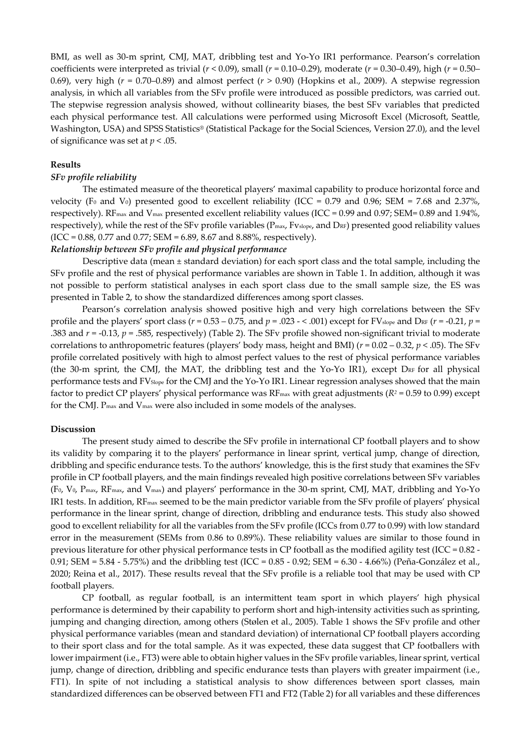BMI, as well as 30-m sprint, CMJ, MAT, dribbling test and Yo-Yo IR1 performance. Pearson's correlation coefficients were interpreted as trivial (*r* < 0.09), small (*r* = 0.10–0.29), moderate (*r* = 0.30–0.49), high (*r* = 0.50– 0.69), very high (*r* = 0.70–0.89) and almost perfect (*r* > 0.90) (Hopkins et al., 2009). A stepwise regression analysis, in which all variables from the SFv profile were introduced as possible predictors, was carried out. The stepwise regression analysis showed, without collinearity biases, the best SFv variables that predicted each physical performance test. All calculations were performed using Microsoft Excel (Microsoft, Seattle, Washington, USA) and SPSS Statistics® (Statistical Package for the Social Sciences, Version 27.0), and the level of significance was set at *p* < .05.

# **Results**

# *SFv profile reliability*

The estimated measure of the theoretical players' maximal capability to produce horizontal force and velocity (F<sub>0</sub> and V<sub>0</sub>) presented good to excellent reliability (ICC = 0.79 and 0.96; SEM = 7.68 and 2.37%, respectively). RF<sub>max</sub> and V<sub>max</sub> presented excellent reliability values (ICC = 0.99 and 0.97; SEM= 0.89 and 1.94%, respectively), while the rest of the SFv profile variables (Pmax, Fvslope, and DRF) presented good reliability values  $(ICC = 0.88, 0.77, and 0.77; SEM = 6.89, 8.67, and 8.88%, respectively).$ 

# *Relationship between SFv profile and physical performance*

Descriptive data (mean ± standard deviation) for each sport class and the total sample, including the SFv profile and the rest of physical performance variables are shown in Table 1. In addition, although it was not possible to perform statistical analyses in each sport class due to the small sample size, the ES was presented in Table 2, to show the standardized differences among sport classes.

Pearson's correlation analysis showed positive high and very high correlations between the SFv profile and the players' sport class ( $r = 0.53 - 0.75$ , and  $p = .023 - < .001$ ) except for FV<sub>slope</sub> and D<sub>RF</sub> ( $r = -0.21$ ,  $p =$ .383 and *r* = -0.13, *p* = .585, respectively) (Table 2). The SFv profile showed non-significant trivial to moderate correlations to anthropometric features (players' body mass, height and BMI) (*r* = 0.02 – 0.32, *p* < .05). The SFv profile correlated positively with high to almost perfect values to the rest of physical performance variables (the 30-m sprint, the CMJ, the MAT, the dribbling test and the Yo-Yo IR1), except  $D_{RF}$  for all physical performance tests and FVSlope for the CMJ and the Yo-Yo IR1. Linear regression analyses showed that the main factor to predict CP players' physical performance was  $RF_{\text{max}}$  with great adjustments ( $R^2$  = 0.59 to 0.99) except for the CMJ. Pmax and Vmax were also included in some models of the analyses.

#### **Discussion**

The present study aimed to describe the SFv profile in international CP football players and to show its validity by comparing it to the players' performance in linear sprint, vertical jump, change of direction, dribbling and specific endurance tests. To the authors' knowledge, this is the first study that examines the SFv profile in CP football players, and the main findings revealed high positive correlations between SFv variables (F0, V0, Pmax, RFmax, and Vmax) and players' performance in the 30-m sprint, CMJ, MAT, dribbling and Yo-Yo IR1 tests. In addition, RFmax seemed to be the main predictor variable from the SFv profile of players' physical performance in the linear sprint, change of direction, dribbling and endurance tests. This study also showed good to excellent reliability for all the variables from the SFv profile (ICCs from 0.77 to 0.99) with low standard error in the measurement (SEMs from 0.86 to 0.89%). These reliability values are similar to those found in previous literature for other physical performance tests in CP football as the modified agility test (ICC =  $0.82$  -0.91; SEM = 5.84 - 5.75%) and the dribbling test (ICC = 0.85 - 0.92; SEM = 6.30 - 4.66%) (Peña-González et al., 2020; Reina et al., 2017). These results reveal that the SFv profile is a reliable tool that may be used with CP football players.

CP football, as regular football, is an intermittent team sport in which players' high physical performance is determined by their capability to perform short and high-intensity activities such as sprinting, jumping and changing direction, among others (Stølen et al., 2005). Table 1 shows the SFv profile and other physical performance variables (mean and standard deviation) of international CP football players according to their sport class and for the total sample. As it was expected, these data suggest that CP footballers with lower impairment (i.e., FT3) were able to obtain higher values in the SFv profile variables, linear sprint, vertical jump, change of direction, dribbling and specific endurance tests than players with greater impairment (i.e., FT1). In spite of not including a statistical analysis to show differences between sport classes, main standardized differences can be observed between FT1 and FT2 (Table 2) for all variables and these differences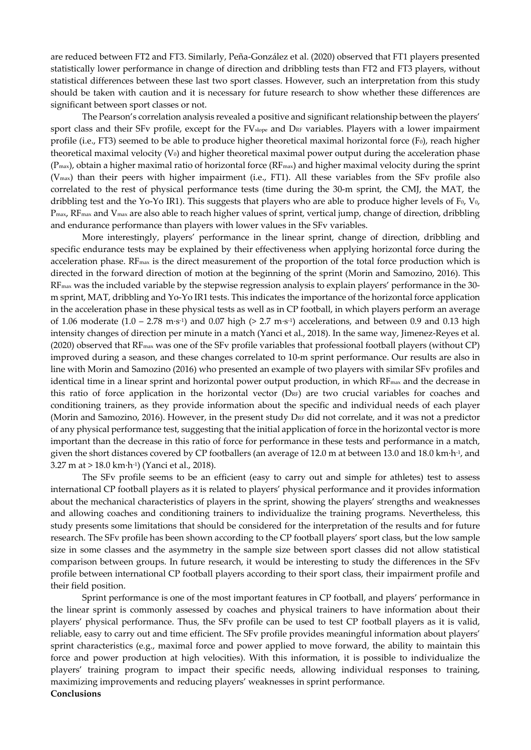are reduced between FT2 and FT3. Similarly, Peña-González et al. (2020) observed that FT1 players presented statistically lower performance in change of direction and dribbling tests than FT2 and FT3 players, without statistical differences between these last two sport classes. However, such an interpretation from this study should be taken with caution and it is necessary for future research to show whether these differences are significant between sport classes or not.

The Pearson's correlation analysis revealed a positive and significant relationship between the players' sport class and their SFv profile, except for the FV<sub>slope</sub> and D<sub>RF</sub> variables. Players with a lower impairment profile (i.e., FT3) seemed to be able to produce higher theoretical maximal horizontal force (F<sub>0</sub>), reach higher theoretical maximal velocity  $(V_0)$  and higher theoretical maximal power output during the acceleration phase  $(P_{\text{max}})$ , obtain a higher maximal ratio of horizontal force  $(RF_{\text{max}})$  and higher maximal velocity during the sprint (Vmax) than their peers with higher impairment (i.e., FT1). All these variables from the SFv profile also correlated to the rest of physical performance tests (time during the 30-m sprint, the CMJ, the MAT, the dribbling test and the Yo-Yo IR1). This suggests that players who are able to produce higher levels of  $F_0$ ,  $V_0$ , Pmax, RFmax and Vmax are also able to reach higher values of sprint, vertical jump, change of direction, dribbling and endurance performance than players with lower values in the SFv variables.

More interestingly, players' performance in the linear sprint, change of direction, dribbling and specific endurance tests may be explained by their effectiveness when applying horizontal force during the acceleration phase. RF<sub>max</sub> is the direct measurement of the proportion of the total force production which is directed in the forward direction of motion at the beginning of the sprint (Morin and Samozino, 2016). This RFmax was the included variable by the stepwise regression analysis to explain players' performance in the 30 m sprint, MAT, dribbling and Yo-Yo IR1 tests. This indicates the importance of the horizontal force application in the acceleration phase in these physical tests as well as in CP football, in which players perform an average of 1.06 moderate  $(1.0 - 2.78 \text{ m} \cdot \text{s}^{-1})$  and 0.07 high (> 2.7 m·s<sup>-1</sup>) accelerations, and between 0.9 and 0.13 high intensity changes of direction per minute in a match (Yanci et al., 2018). In the same way, Jimenez-Reyes et al. (2020) observed that RFmax was one of the SFv profile variables that professional football players (without CP) improved during a season, and these changes correlated to 10-m sprint performance. Our results are also in line with Morin and Samozino (2016) who presented an example of two players with similar SFv profiles and identical time in a linear sprint and horizontal power output production, in which RF<sub>max</sub> and the decrease in this ratio of force application in the horizontal vector  $(D_{RF})$  are two crucial variables for coaches and conditioning trainers, as they provide information about the specific and individual needs of each player (Morin and Samozino, 2016). However, in the present study D<sub>RF</sub> did not correlate, and it was not a predictor of any physical performance test, suggesting that the initial application of force in the horizontal vector is more important than the decrease in this ratio of force for performance in these tests and performance in a match, given the short distances covered by CP footballers (an average of 12.0 m at between 13.0 and 18.0 km·h-1, and 3.27 m at > 18.0 km·h-1) (Yanci et al., 2018).

The SFv profile seems to be an efficient (easy to carry out and simple for athletes) test to assess international CP football players as it is related to players' physical performance and it provides information about the mechanical characteristics of players in the sprint, showing the players' strengths and weaknesses and allowing coaches and conditioning trainers to individualize the training programs. Nevertheless, this study presents some limitations that should be considered for the interpretation of the results and for future research. The SFv profile has been shown according to the CP football players' sport class, but the low sample size in some classes and the asymmetry in the sample size between sport classes did not allow statistical comparison between groups. In future research, it would be interesting to study the differences in the SFv profile between international CP football players according to their sport class, their impairment profile and their field position.

Sprint performance is one of the most important features in CP football, and players' performance in the linear sprint is commonly assessed by coaches and physical trainers to have information about their players' physical performance. Thus, the SFv profile can be used to test CP football players as it is valid, reliable, easy to carry out and time efficient. The SFv profile provides meaningful information about players' sprint characteristics (e.g., maximal force and power applied to move forward, the ability to maintain this force and power production at high velocities). With this information, it is possible to individualize the players' training program to impact their specific needs, allowing individual responses to training, maximizing improvements and reducing players' weaknesses in sprint performance. **Conclusions**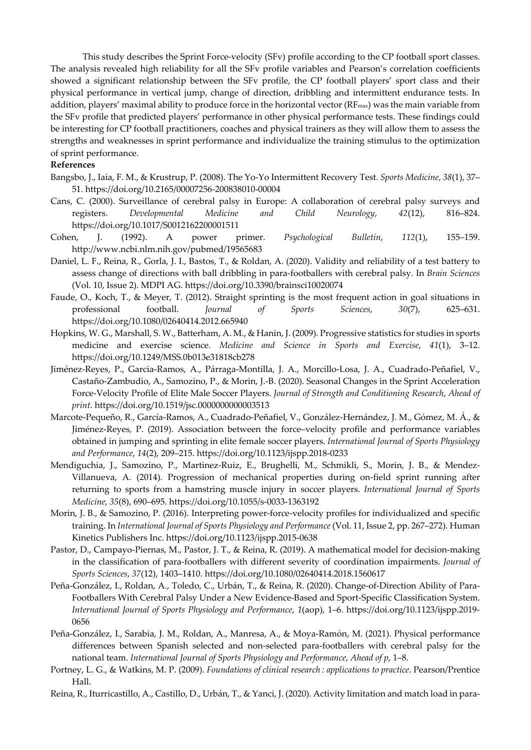This study describes the Sprint Force-velocity (SFv) profile according to the CP football sport classes. The analysis revealed high reliability for all the SFv profile variables and Pearson's correlation coefficients showed a significant relationship between the SFv profile, the CP football players' sport class and their physical performance in vertical jump, change of direction, dribbling and intermittent endurance tests. In addition, players' maximal ability to produce force in the horizontal vector  $(RF_{max})$  was the main variable from the SFv profile that predicted players' performance in other physical performance tests. These findings could be interesting for CP football practitioners, coaches and physical trainers as they will allow them to assess the strengths and weaknesses in sprint performance and individualize the training stimulus to the optimization of sprint performance.

# **References**

- Bangsbo, J., Iaia, F. M., & Krustrup, P. (2008). The Yo-Yo Intermittent Recovery Test. *Sports Medicine*, *38*(1), 37– 51. https://doi.org/10.2165/00007256-200838010-00004
- Cans, C. (2000). Surveillance of cerebral palsy in Europe: A collaboration of cerebral palsy surveys and registers. *Developmental Medicine and Child Neurology*, *42*(12), 816–824. https://doi.org/10.1017/S0012162200001511
- Cohen, J. (1992). A power primer. *Psychological Bulletin*, *112*(1), 155–159. http://www.ncbi.nlm.nih.gov/pubmed/19565683
- Daniel, L. F., Reina, R., Gorla, J. I., Bastos, T., & Roldan, A. (2020). Validity and reliability of a test battery to assess change of directions with ball dribbling in para-footballers with cerebral palsy. In *Brain Sciences* (Vol. 10, Issue 2). MDPI AG. https://doi.org/10.3390/brainsci10020074
- Faude, O., Koch, T., & Meyer, T. (2012). Straight sprinting is the most frequent action in goal situations in professional football. *Journal of Sports Sciences*, *30*(7), 625–631. https://doi.org/10.1080/02640414.2012.665940
- Hopkins, W. G., Marshall, S. W., Batterham, A. M., & Hanin, J. (2009). Progressive statistics for studies in sports medicine and exercise science. *Medicine and Science in Sports and Exercise*, *41*(1), 3–12. https://doi.org/10.1249/MSS.0b013e31818cb278
- Jiménez-Reyes, P., Garcia-Ramos, A., Párraga-Montilla, J. A., Morcillo-Losa, J. A., Cuadrado-Peñafiel, V., Castaño-Zambudio, A., Samozino, P., & Morin, J.-B. (2020). Seasonal Changes in the Sprint Acceleration Force-Velocity Profile of Elite Male Soccer Players. *Journal of Strength and Conditioning Research*, *Ahead of print*. https://doi.org/10.1519/jsc.0000000000003513
- Marcote-Pequeño, R., García-Ramos, A., Cuadrado-Peñafiel, V., González-Hernández, J. M., Gómez, M. Á., & Jiménez-Reyes, P. (2019). Association between the force–velocity profile and performance variables obtained in jumping and sprinting in elite female soccer players. *International Journal of Sports Physiology and Performance*, *14*(2), 209–215. https://doi.org/10.1123/ijspp.2018-0233
- Mendiguchia, J., Samozino, P., Martinez-Ruiz, E., Brughelli, M., Schmikli, S., Morin, J. B., & Mendez-Villanueva, A. (2014). Progression of mechanical properties during on-field sprint running after returning to sports from a hamstring muscle injury in soccer players. *International Journal of Sports Medicine*, *35*(8), 690–695. https://doi.org/10.1055/s-0033-1363192
- Morin, J. B., & Samozino, P. (2016). Interpreting power-force-velocity profiles for individualized and specific training. In *International Journal of Sports Physiology and Performance* (Vol. 11, Issue 2, pp. 267–272). Human Kinetics Publishers Inc. https://doi.org/10.1123/ijspp.2015-0638
- Pastor, D., Campayo-Piernas, M., Pastor, J. T., & Reina, R. (2019). A mathematical model for decision-making in the classification of para-footballers with different severity of coordination impairments. *Journal of Sports Sciences*, *37*(12), 1403–1410. https://doi.org/10.1080/02640414.2018.1560617
- Peña-González, I., Roldan, A., Toledo, C., Urbán, T., & Reina, R. (2020). Change-of-Direction Ability of Para-Footballers With Cerebral Palsy Under a New Evidence-Based and Sport-Specific Classification System. *International Journal of Sports Physiology and Performance*, *1*(aop), 1–6. https://doi.org/10.1123/ijspp.2019- 0656
- Peña-González, I., Sarabia, J. M., Roldan, A., Manresa, A., & Moya-Ramón, M. (2021). Physical performance differences between Spanish selected and non-selected para-footballers with cerebral palsy for the national team. *International Journal of Sports Physiology and Performance*, *Ahead of p*, 1–8.
- Portney, L. G., & Watkins, M. P. (2009). *Foundations of clinical research : applications to practice*. Pearson/Prentice Hall.
- Reina, R., Iturricastillo, A., Castillo, D., Urbán, T., & Yanci, J. (2020). Activity limitation and match load in para-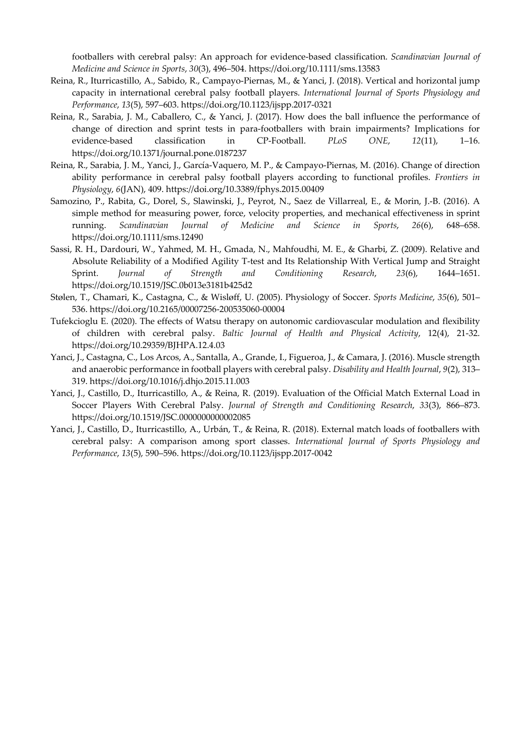footballers with cerebral palsy: An approach for evidence-based classification. *Scandinavian Journal of Medicine and Science in Sports*, *30*(3), 496–504. https://doi.org/10.1111/sms.13583

- Reina, R., Iturricastillo, A., Sabido, R., Campayo-Piernas, M., & Yanci, J. (2018). Vertical and horizontal jump capacity in international cerebral palsy football players. *International Journal of Sports Physiology and Performance*, *13*(5), 597–603. https://doi.org/10.1123/ijspp.2017-0321
- Reina, R., Sarabia, J. M., Caballero, C., & Yanci, J. (2017). How does the ball influence the performance of change of direction and sprint tests in para-footballers with brain impairments? Implications for evidence-based classification in CP-Football. *PLoS ONE*, *12*(11), 1–16. https://doi.org/10.1371/journal.pone.0187237
- Reina, R., Sarabia, J. M., Yanci, J., García-Vaquero, M. P., & Campayo-Piernas, M. (2016). Change of direction ability performance in cerebral palsy football players according to functional profiles. *Frontiers in Physiology*, *6*(JAN), 409. https://doi.org/10.3389/fphys.2015.00409
- Samozino, P., Rabita, G., Dorel, S., Slawinski, J., Peyrot, N., Saez de Villarreal, E., & Morin, J.-B. (2016). A simple method for measuring power, force, velocity properties, and mechanical effectiveness in sprint running. *Scandinavian Journal of Medicine and Science in Sports*, *26*(6), 648–658. https://doi.org/10.1111/sms.12490
- Sassi, R. H., Dardouri, W., Yahmed, M. H., Gmada, N., Mahfoudhi, M. E., & Gharbi, Z. (2009). Relative and Absolute Reliability of a Modified Agility T-test and Its Relationship With Vertical Jump and Straight Sprint. *Journal of Strength and Conditioning Research*, *23*(6), 1644–1651. https://doi.org/10.1519/JSC.0b013e3181b425d2
- Stølen, T., Chamari, K., Castagna, C., & Wisløff, U. (2005). Physiology of Soccer. *Sports Medicine*, *35*(6), 501– 536. https://doi.org/10.2165/00007256-200535060-00004
- Tufekcioglu E. (2020). The effects of Watsu therapy on autonomic cardiovascular modulation and flexibility of children with cerebral palsy. *Baltic Journal of Health and Physical Activity*, 12(4), 21-32. https://doi.org/10.29359/BJHPA.12.4.03
- Yanci, J., Castagna, C., Los Arcos, A., Santalla, A., Grande, I., Figueroa, J., & Camara, J. (2016). Muscle strength and anaerobic performance in football players with cerebral palsy. *Disability and Health Journal*, *9*(2), 313– 319. https://doi.org/10.1016/j.dhjo.2015.11.003
- Yanci, J., Castillo, D., Iturricastillo, A., & Reina, R. (2019). Evaluation of the Official Match External Load in Soccer Players With Cerebral Palsy. *Journal of Strength and Conditioning Research*, *33*(3), 866–873. https://doi.org/10.1519/JSC.0000000000002085
- Yanci, J., Castillo, D., Iturricastillo, A., Urbán, T., & Reina, R. (2018). External match loads of footballers with cerebral palsy: A comparison among sport classes. *International Journal of Sports Physiology and Performance*, *13*(5), 590–596. https://doi.org/10.1123/ijspp.2017-0042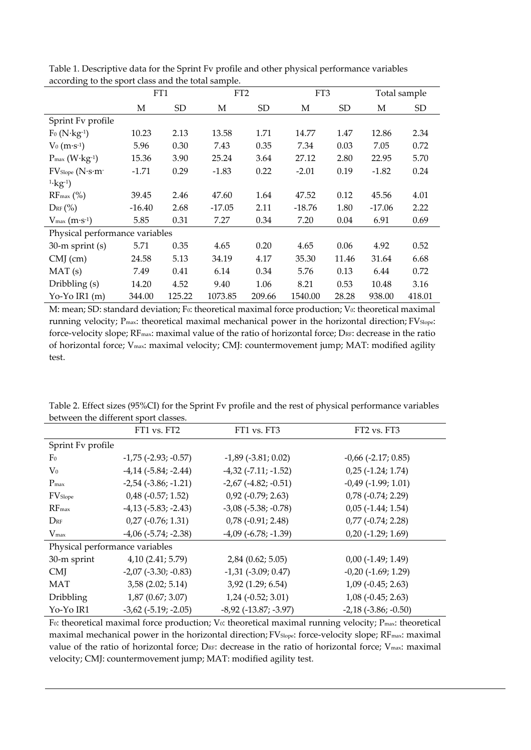|                                                         | FT1      |           | FT <sub>2</sub> |        | FT3      |           | Total sample |        |
|---------------------------------------------------------|----------|-----------|-----------------|--------|----------|-----------|--------------|--------|
|                                                         | М        | <b>SD</b> | М               | SD     | М        | <b>SD</b> | М            | SD     |
| Sprint Fv profile                                       |          |           |                 |        |          |           |              |        |
| $F_0(N \cdot kg^{-1})$                                  | 10.23    | 2.13      | 13.58           | 1.71   | 14.77    | 1.47      | 12.86        | 2.34   |
| $V_0(m·s-1)$                                            | 5.96     | 0.30      | 7.43            | 0.35   | 7.34     | 0.03      | 7.05         | 0.72   |
| $P_{\text{max}}(W \cdot \text{kg-1})$                   | 15.36    | 3.90      | 25.24           | 3.64   | 27.12    | 2.80      | 22.95        | 5.70   |
| $FV$ Slope (N·s·m-                                      | $-1.71$  | 0.29      | $-1.83$         | 0.22   | $-2.01$  | 0.19      | $-1.82$      | 0.24   |
| $1 \cdot \text{kg}^{-1}$                                |          |           |                 |        |          |           |              |        |
| $RF_{\text{max}}$ (%)                                   | 39.45    | 2.46      | 47.60           | 1.64   | 47.52    | 0.12      | 45.56        | 4.01   |
| $D_{RF}$ $\left(\% \right)$                             | $-16.40$ | 2.68      | $-17.05$        | 2.11   | $-18.76$ | 1.80      | $-17.06$     | 2.22   |
| $V_{\text{max}}\left(\text{m}\cdot\text{s}^{-1}\right)$ | 5.85     | 0.31      | 7.27            | 0.34   | 7.20     | 0.04      | 6.91         | 0.69   |
| Physical performance variables                          |          |           |                 |        |          |           |              |        |
| $30-m$ sprint (s)                                       | 5.71     | 0.35      | 4.65            | 0.20   | 4.65     | 0.06      | 4.92         | 0.52   |
| $CMJ$ (cm)                                              | 24.58    | 5.13      | 34.19           | 4.17   | 35.30    | 11.46     | 31.64        | 6.68   |
| MAT(s)                                                  | 7.49     | 0.41      | 6.14            | 0.34   | 5.76     | 0.13      | 6.44         | 0.72   |
| Dribbling (s)                                           | 14.20    | 4.52      | 9.40            | 1.06   | 8.21     | 0.53      | 10.48        | 3.16   |
| Yo-Yo IR1 $(m)$                                         | 344.00   | 125.22    | 1073.85         | 209.66 | 1540.00  | 28.28     | 938.00       | 418.01 |

Table 1. Descriptive data for the Sprint Fv profile and other physical performance variables according to the sport class and the total sample.

M: mean; SD: standard deviation; F<sub>0</sub>: theoretical maximal force production; V<sub>0</sub>: theoretical maximal running velocity; P<sub>max</sub>: theoretical maximal mechanical power in the horizontal direction; FV<sub>Slope</sub>: force-velocity slope; RF<sub>max</sub>: maximal value of the ratio of horizontal force; DRF: decrease in the ratio of horizontal force; Vmax: maximal velocity; CMJ: countermovement jump; MAT: modified agility test.

|                                | FT1 vs. FT2                   | FT1 vs. FT3                   | FT2 vs. FT3                 |  |  |  |  |
|--------------------------------|-------------------------------|-------------------------------|-----------------------------|--|--|--|--|
| Sprint Fv profile              |                               |                               |                             |  |  |  |  |
| F <sub>0</sub>                 | $-1,75$ ( $-2.93$ ; $-0.57$ ) | $-1,89$ ( $-3.81;0.02$ )      | $-0,66$ $(-2.17; 0.85)$     |  |  |  |  |
| $V_0$                          | $-4,14$ $(-5.84; -2.44)$      | $-4,32$ ( $-7.11$ ; $-1.52$ ) | $0,25$ ( $-1.24$ ; 1.74)    |  |  |  |  |
| $P_{\text{max}}$               | $-2,54$ $(-3.86; -1.21)$      | $-2,67$ ( $-4.82$ ; $-0.51$ ) | $-0.49$ $(-1.99; 1.01)$     |  |  |  |  |
| FV <sub>Slope</sub>            | $0,48$ ( $-0.57$ ; 1.52)      | $0,92$ ( $-0.79$ ; 2.63)      | $0,78$ ( $-0.74$ ; 2.29)    |  |  |  |  |
| $RF_{max}$                     | $-4,13$ $(-5.83; -2.43)$      | $-3,08$ $(-5.38; -0.78)$      | $0,05$ ( $-1.44; 1.54$ )    |  |  |  |  |
| $D_{RF}$                       | $0,27$ ( $-0.76$ ; 1.31)      | $0,78$ ( $-0.91$ ; 2.48)      | $0,77$ ( $-0.74$ ; 2.28)    |  |  |  |  |
| $V_{\rm max}$                  | $-4,06$ $(-5.74; -2.38)$      | $-4,09$ ( $-6.78$ ; $-1.39$ ) | $0,20$ (-1.29; 1.69)        |  |  |  |  |
| Physical performance variables |                               |                               |                             |  |  |  |  |
| 30-m sprint                    | 4,10(2.41; 5.79)              | $2,84$ (0.62; 5.05)           | $0,00$ ( $-1.49$ ; $1.49$ ) |  |  |  |  |
| <b>CMI</b>                     | $-2,07$ $(-3.30; -0.83)$      | $-1,31$ $(-3.09; 0.47)$       | $-0,20$ $(-1.69; 1.29)$     |  |  |  |  |
| <b>MAT</b>                     | $3,58$ (2.02; 5.14)           | 3,92 (1.29; 6.54)             | $1,09$ ( $-0.45$ ; 2.63)    |  |  |  |  |
| <b>Dribbling</b>               | $1,87$ (0.67; 3.07)           | $1,24$ ( $-0.52$ ; 3.01)      | $1,08$ ( $-0.45$ ; 2.63)    |  |  |  |  |
| Yo-Yo IR1                      | $-3,62$ ( $-5.19$ ; $-2.05$ ) | $-8,92$ ( $-13.87; -3.97$ )   | $-2,18$ $(-3.86; -0.50)$    |  |  |  |  |

Table 2. Effect sizes (95%CI) for the Sprint Fv profile and the rest of physical performance variables between the different sport classes.

F<sub>0</sub>: theoretical maximal force production; V<sub>0</sub>: theoretical maximal running velocity; P<sub>max</sub>: theoretical maximal mechanical power in the horizontal direction; FV<sub>Slope</sub>: force-velocity slope; RF<sub>max</sub>: maximal value of the ratio of horizontal force; DRF: decrease in the ratio of horizontal force; V<sub>max</sub>: maximal velocity; CMJ: countermovement jump; MAT: modified agility test.